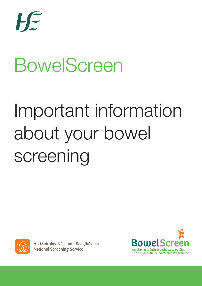

# BowelScreen

# Important information about your bowel screening



An tSeirbhís Náisiúnta Scagthástála **National Screening Service** 

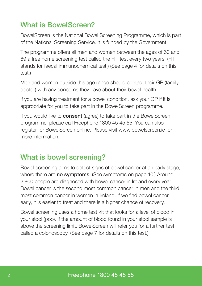# What is BowelScreen?

BowelScreen is the National Bowel Screening Programme, which is part of the National Screening Service. It is funded by the Government.

The programme offers all men and women between the ages of 60 and 69 a free home screening test called the FIT test every two years. (FIT stands for faecal immunochemical test.) (See page 4 for details on this test.)

Men and women outside this age range should contact their GP (family doctor) with any concerns they have about their bowel health.

If you are having treatment for a bowel condition, ask your GP if it is appropriate for you to take part in the BowelScreen programme.

If you would like to **consent** (agree) to take part in the BowelScreen programme, please call Freephone 1800 45 45 55. You can also register for BowelScreen online. Please visit www.bowelscreen.ie for more information.

## What is bowel screening?

Bowel screening aims to detect signs of bowel cancer at an early stage, where there are **no symptoms**. (See symptoms on page 10.) Around 2,800 people are diagnosed with bowel cancer in Ireland every year. Bowel cancer is the second most common cancer in men and the third most common cancer in women in Ireland. If we find bowel cancer early, it is easier to treat and there is a higher chance of recovery.

Bowel screening uses a home test kit that looks for a level of blood in your stool (poo). If the amount of blood found in your stool sample is above the screening limit, BowelScreen will refer you for a further test called a colonoscopy. (See page 7 for details on this test.)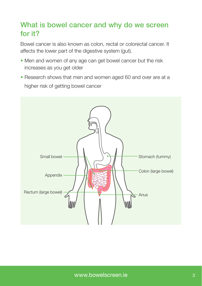## What is bowel cancer and why do we screen for it?

Bowel cancer is also known as colon, rectal or colorectal cancer. It affects the lower part of the digestive system (gut).

- Men and women of any age can get bowel cancer but the risk increases as you get older
- Research shows that men and women aged 60 and over are at a higher risk of getting bowel cancer

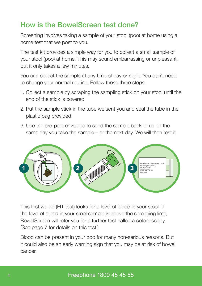## How is the BowelScreen test done?

Screening involves taking a sample of your stool (poo) at home using a home test that we post to you.

The test kit provides a simple way for you to collect a small sample of your stool (poo) at home. This may sound embarrassing or unpleasant, but it only takes a few minutes.

You can collect the sample at any time of day or night. You don't need to change your normal routine. Follow these three steps:

- 1. Collect a sample by scraping the sampling stick on your stool until the end of the stick is covered
- 2. Put the sample stick in the tube we sent you and seal the tube in the plastic bag provided
- 3. Use the pre-paid envelope to send the sample back to us on the same day you take the sample – or the next day. We will then test it.



This test we do (FIT test) looks for a level of blood in your stool. If the level of blood in your stool sample is above the screening limit, BowelScreen will refer you for a further test called a colonoscopy. (See page 7 for details on this test.)

Blood can be present in your poo for many non-serious reasons. But it could also be an early warning sign that you may be at risk of bowel cancer.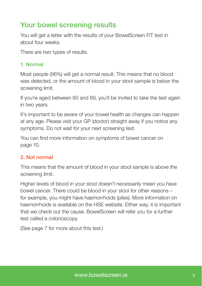# Your bowel screening results

You will get a letter with the results of your BowelScreen FIT test in about four weeks.

There are two types of results.

#### 1. Normal

Most people (96%) will get a normal result. This means that no blood was detected, or the amount of blood in your stool sample is below the screening limit.

If you're aged between 60 and 69, you'll be invited to take the test again in two years.

It's important to be aware of your bowel health as changes can happen at any age. Please visit your GP (doctor) straight away if you notice any symptoms. Do not wait for your next screening test.

You can find more information on symptoms of bowel cancer on page 10.

#### 2. Not normal

This means that the amount of blood in your stool sample is above the screening limit.

Higher levels of blood in your stool doesn't necessarily mean you have bowel cancer. There could be blood in your stool for other reasons – for example, you might have haemorrhoids (piles). More information on haemorrhoids is available on the HSE website. Either way, it is important that we check out the cause. BowelScreen will refer you for a further test called a colonoscopy.

(See page 7 for more about this test.)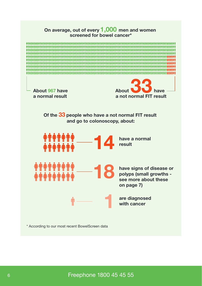

\* According to our most recent BowelScreen data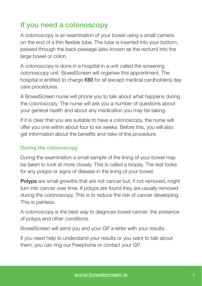# If you need a colonoscopy

A colonoscopy is an examination of your bowel using a small camera on the end of a thin flexible tube. The tube is inserted into your bottom, passed through the back passage (also known as the rectum) into the large bowel or colon.

A colonoscopy is done in a hospital in a unit called the screening colonoscopy unit. BowelScreen will organise this appointment. The hospital is entitled to charge €80 for all (except medical cardholders) day care procedures.

A BowelScreen nurse will phone you to talk about what happens during the colonoscopy. The nurse will ask you a number of questions about your general health and about any medication you may be taking.

If it is clear that you are suitable to have a colonoscopy, the nurse will offer you one within about four to six weeks. Before this, you will also get information about the benefits and risks of the procedure.

#### During the colonoscopy

During the examination a small sample of the lining of your bowel may be taken to look at more closely. This is called a biopsy. The test looks for any polyps or signs of disease in the lining of your bowel.

**Polyps** are small growths that are not cancer but, if not removed, might turn into cancer over time. If polyps are found they are usually removed during the colonoscopy. This is to reduce the risk of cancer developing. This is painless.

A colonoscopy is the best way to diagnose bowel cancer, the presence of polyps and other conditions.

BowelScreen will send you and your GP a letter with your results.

If you need help to understand your results or you want to talk about them, you can ring our Freephone or contact your GP.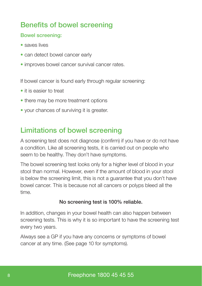# Benefits of bowel screening

#### Bowel screening:

- saves lives
- can detect bowel cancer early
- improves bowel cancer survival cancer rates.

If bowel cancer is found early through regular screening:

- it is easier to treat
- there may be more treatment options
- your chances of surviving it is greater.

# Limitations of bowel screening

A screening test does not diagnose (confirm) if you have or do not have a condition. Like all screening tests, it is carried out on people who seem to be healthy. They don't have symptoms.

The bowel screening test looks only for a higher level of blood in your stool than normal. However, even if the amount of blood in your stool is below the screening limit, this is not a guarantee that you don't have bowel cancer. This is because not all cancers or polyps bleed all the time.

#### No screening test is 100% reliable.

In addition, changes in your bowel health can also happen between screening tests. This is why it is so important to have the screening test every two years.

Always see a GP if you have any concerns or symptoms of bowel cancer at any time. (See page 10 for symptoms).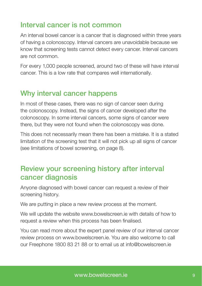## Interval cancer is not common

An interval bowel cancer is a cancer that is diagnosed within three years of having a colonoscopy. Interval cancers are unavoidable because we know that screening tests cannot detect every cancer. Interval cancers are not common.

For every 1,000 people screened, around two of these will have interval cancer. This is a low rate that compares well internationally.

#### Why interval cancer happens

In most of these cases, there was no sign of cancer seen during the colonoscopy. Instead, the signs of cancer developed after the colonoscopy. In some interval cancers, some signs of cancer were there, but they were not found when the colonoscopy was done.

This does not necessarily mean there has been a mistake. It is a stated limitation of the screening test that it will not pick up all signs of cancer (see limitations of bowel screening, on page 8).

## Review your screening history after interval cancer diagnosis

Anyone diagnosed with bowel cancer can request a review of their screening history.

We are putting in place a new review process at the moment.

We will update the website www.bowelscreen.ie with details of how to request a review when this process has been finalised.

You can read more about the expert panel review of our interval cancer review process on www.bowelscreen.ie. You are also welcome to call our Freephone 1800 83 21 88 or to email us at info@bowelscreen.ie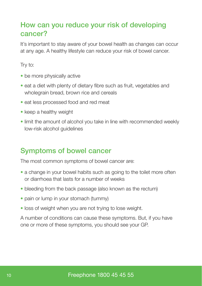## How can you reduce your risk of developing cancer?

It's important to stay aware of your bowel health as changes can occur at any age. A healthy lifestyle can reduce your risk of bowel cancer.

Try to:

- be more physically active
- eat a diet with plenty of dietary fibre such as fruit, vegetables and wholegrain bread, brown rice and cereals
- eat less processed food and red meat
- keep a healthy weight
- limit the amount of alcohol you take in line with recommended weekly low-risk alcohol guidelines

## Symptoms of bowel cancer

The most common symptoms of bowel cancer are:

- a change in your bowel habits such as going to the toilet more often or diarrhoea that lasts for a number of weeks
- bleeding from the back passage (also known as the rectum)
- pain or lump in your stomach (tummy)
- loss of weight when you are not trying to lose weight.

A number of conditions can cause these symptoms. But, if you have one or more of these symptoms, you should see your GP.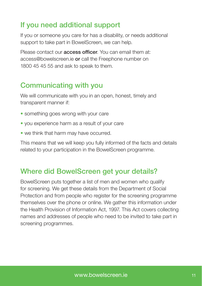# If you need additional support

If you or someone you care for has a disability, or needs additional support to take part in BowelScreen, we can help.

Please contact our **access officer**. You can email them at: access@bowelscreen.ie or call the Freephone number on 1800 45 45 55 and ask to speak to them.

### Communicating with you

We will communicate with you in an open, honest, timely and transparent manner if:

- something goes wrong with your care
- you experience harm as a result of your care
- we think that harm may have occurred.

This means that we will keep you fully informed of the facts and details related to your participation in the BowelScreen programme.

### Where did BowelScreen get your details?

BowelScreen puts together a list of men and women who qualify for screening. We get these details from the Department of Social Protection and from people who register for the screening programme themselves over the phone or online. We gather this information under the Health Provision of Information Act, 1997. This Act covers collecting names and addresses of people who need to be invited to take part in screening programmes.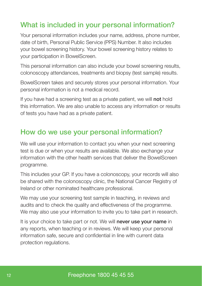# What is included in your personal information?

Your personal information includes your name, address, phone number, date of birth, Personal Public Service (PPS) Number. It also includes your bowel screening history. Your bowel screening history relates to your participation in BowelScreen.

This personal information can also include your bowel screening results, colonoscopy attendances, treatments and biopsy (test sample) results.

BowelScreen takes and securely stores your personal information. Your personal information is not a medical record.

If you have had a screening test as a private patient, we will not hold this information. We are also unable to access any information or results of tests you have had as a private patient.

## How do we use your personal information?

We will use your information to contact you when your next screening test is due or when your results are available. We also exchange your information with the other health services that deliver the BowelScreen programme.

This includes your GP. If you have a colonoscopy, your records will also be shared with the colonoscopy clinic, the National Cancer Registry of Ireland or other nominated healthcare professional.

We may use your screening test sample in teaching, in reviews and audits and to check the quality and effectiveness of the programme. We may also use your information to invite you to take part in research.

It is your choice to take part or not. We will **never use your name** in any reports, when teaching or in reviews. We will keep your personal information safe, secure and confidential in line with current data protection regulations.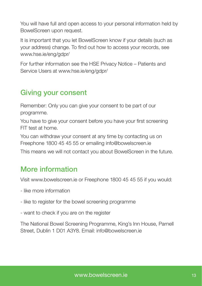You will have full and open access to your personal information held by BowelScreen upon request.

It is important that you let BowelScreen know if your details (such as your address) change. To find out how to access your records, see www.hse.ie/eng/gdpr/

For further information see the HSE Privacy Notice – Patients and Service Users at www.hse.ie/eng/gdpr/

### Giving your consent

Remember: Only you can give your consent to be part of our programme.

You have to give your consent before you have your first screening FIT test at home.

You can withdraw your consent at any time by contacting us on Freephone 1800 45 45 55 or emailing info@bowelscreen.ie

This means we will not contact you about BowelScreen in the future.

# More information

Visit www.bowelscreen.ie or Freephone 1800 45 45 55 if you would:

- like more information
- like to register for the bowel screening programme
- want to check if you are on the register

The National Bowel Screening Programme, King's Inn House, Parnell Street, Dublin 1 D01 A3Y8. Email: info@bowelscreen.ie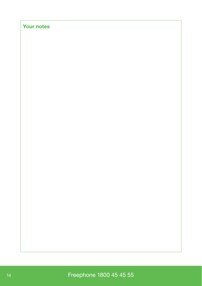#### **Your notes**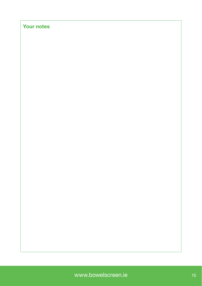#### **Your notes**